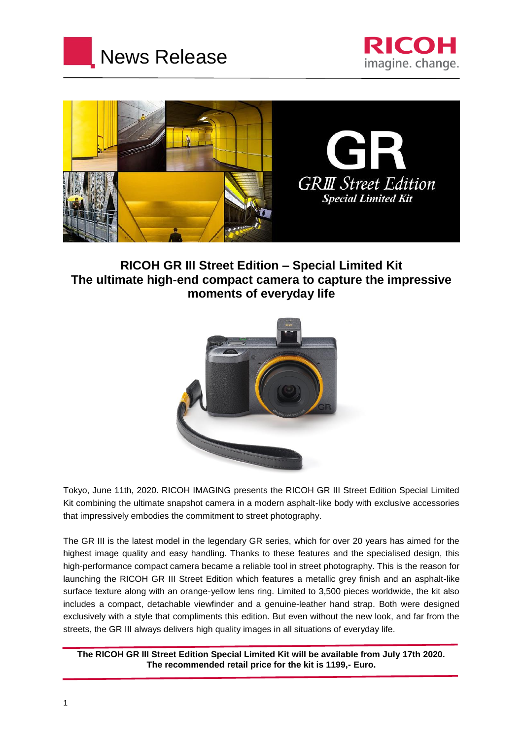





# **RICOH GR III Street Edition – Special Limited Kit The ultimate high-end compact camera to capture the impressive moments of everyday life**



Tokyo, June 11th, 2020. RICOH IMAGING presents the RICOH GR III Street Edition Special Limited Kit combining the ultimate snapshot camera in a modern asphalt-like body with exclusive accessories that impressively embodies the commitment to street photography.

The GR III is the latest model in the legendary GR series, which for over 20 years has aimed for the highest image quality and easy handling. Thanks to these features and the specialised design, this high-performance compact camera became a reliable tool in street photography. This is the reason for launching the RICOH GR III Street Edition which features a metallic grey finish and an asphalt-like surface texture along with an orange-yellow lens ring. Limited to 3,500 pieces worldwide, the kit also includes a compact, detachable viewfinder and a genuine-leather hand strap. Both were designed exclusively with a style that compliments this edition. But even without the new look, and far from the streets, the GR III always delivers high quality images in all situations of everyday life.

**The RICOH GR III Street Edition Special Limited Kit will be available from July 17th 2020. The recommended retail price for the kit is 1199,- Euro.**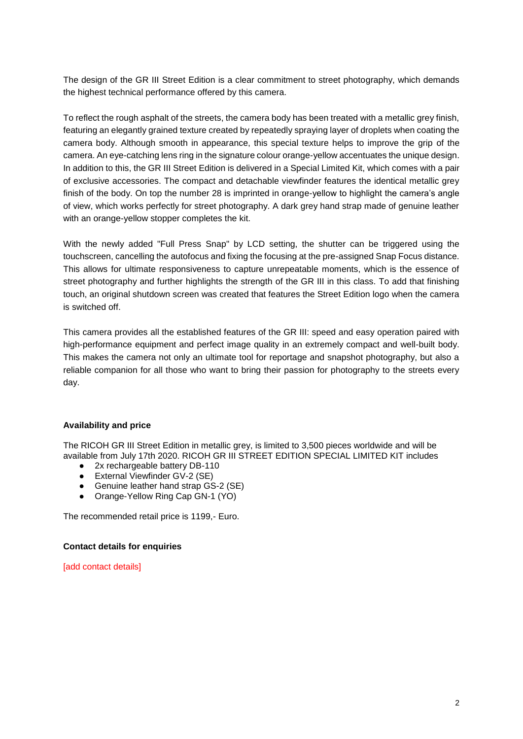The design of the GR III Street Edition is a clear commitment to street photography, which demands the highest technical performance offered by this camera.

To reflect the rough asphalt of the streets, the camera body has been treated with a metallic grey finish, featuring an elegantly grained texture created by repeatedly spraying layer of droplets when coating the camera body. Although smooth in appearance, this special texture helps to improve the grip of the camera. An eye-catching lens ring in the signature colour orange-yellow accentuates the unique design. In addition to this, the GR III Street Edition is delivered in a Special Limited Kit, which comes with a pair of exclusive accessories. The compact and detachable viewfinder features the identical metallic grey finish of the body. On top the number 28 is imprinted in orange-yellow to highlight the camera's angle of view, which works perfectly for street photography. A dark grey hand strap made of genuine leather with an orange-yellow stopper completes the kit.

With the newly added "Full Press Snap" by LCD setting, the shutter can be triggered using the touchscreen, cancelling the autofocus and fixing the focusing at the pre-assigned Snap Focus distance. This allows for ultimate responsiveness to capture unrepeatable moments, which is the essence of street photography and further highlights the strength of the GR III in this class. To add that finishing touch, an original shutdown screen was created that features the Street Edition logo when the camera is switched off.

This camera provides all the established features of the GR III: speed and easy operation paired with high-performance equipment and perfect image quality in an extremely compact and well-built body. This makes the camera not only an ultimate tool for reportage and snapshot photography, but also a reliable companion for all those who want to bring their passion for photography to the streets every day.

## **Availability and price**

The RICOH GR III Street Edition in metallic grey, is limited to 3,500 pieces worldwide and will be available from July 17th 2020. RICOH GR III STREET EDITION SPECIAL LIMITED KIT includes

- 2x rechargeable battery DB-110
- External Viewfinder GV-2 (SE)
- Genuine leather hand strap GS-2 (SE)
- Orange-Yellow Ring Cap GN-1 (YO)

The recommended retail price is 1199,- Euro.

### **Contact details for enquiries**

[add contact details]